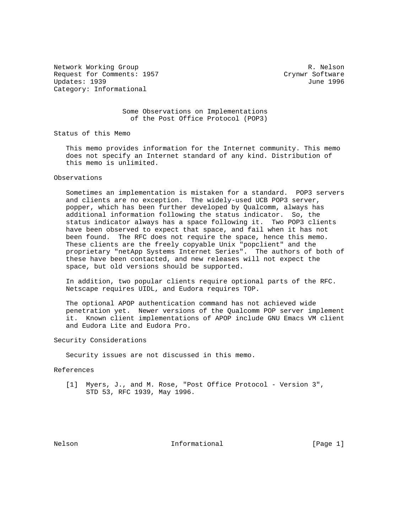Network Working Group and the set of the set of the R. Nelson Request for Comments: 1957 Crynwr Software Updates: 1939 June 1996 Category: Informational

 Some Observations on Implementations of the Post Office Protocol (POP3)

Status of this Memo

 This memo provides information for the Internet community. This memo does not specify an Internet standard of any kind. Distribution of this memo is unlimited.

## Observations

 Sometimes an implementation is mistaken for a standard. POP3 servers and clients are no exception. The widely-used UCB POP3 server, popper, which has been further developed by Qualcomm, always has additional information following the status indicator. So, the status indicator always has a space following it. Two POP3 clients have been observed to expect that space, and fail when it has not been found. The RFC does not require the space, hence this memo. These clients are the freely copyable Unix "popclient" and the proprietary "netApp Systems Internet Series". The authors of both of these have been contacted, and new releases will not expect the space, but old versions should be supported.

 In addition, two popular clients require optional parts of the RFC. Netscape requires UIDL, and Eudora requires TOP.

 The optional APOP authentication command has not achieved wide penetration yet. Newer versions of the Qualcomm POP server implement it. Known client implementations of APOP include GNU Emacs VM client and Eudora Lite and Eudora Pro.

Security Considerations

Security issues are not discussed in this memo.

References

 [1] Myers, J., and M. Rose, "Post Office Protocol - Version 3", STD 53, RFC 1939, May 1996.

Nelson **Informational Informational** [Page 1]